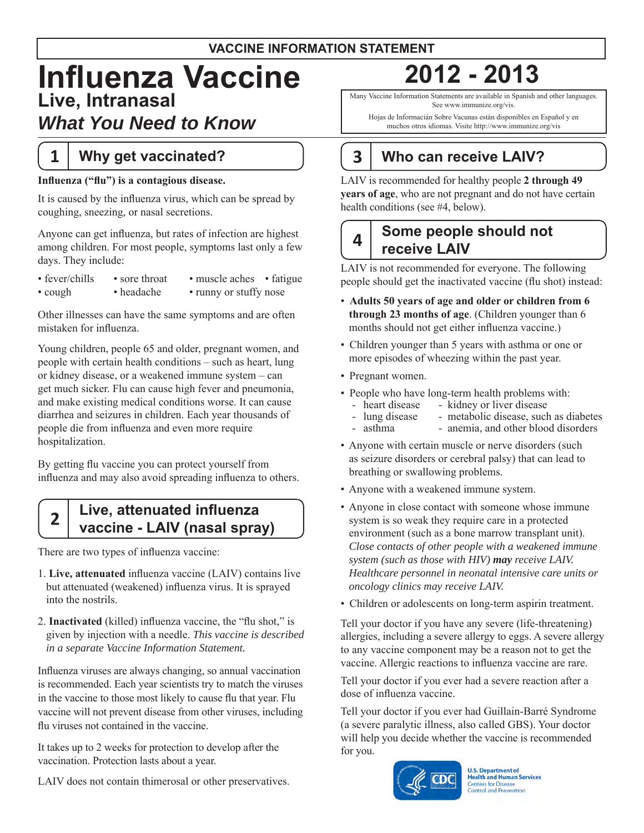### **VACCINE INFORMATION STATEMENT**

# **Influenza Vaccine 2012 - 2013 Live, Intranasal**  *What You Need to Know*

# **1 Why get vaccinated?**

### **Influenza ("flu") is a contagious disease.**

It is caused by the influenza virus, which can be spread by coughing, sneezing, or nasal secretions.

Anyone can get influenza, but rates of infection are highest among children. For most people, symptoms last only a few days. They include:

| $\cdot$ fever/chills | • sore throat | • muscle aches • fatigue |
|----------------------|---------------|--------------------------|
| $\cdot$ cough        | • headache    | • runny or stuffy nose   |

Other illnesses can have the same symptoms and are often mistaken for influenza.

Young children, people 65 and older, pregnant women, and people with certain health conditions – such as heart, lung or kidney disease, or a weakened immune system – can get much sicker. Flu can cause high fever and pneumonia, and make existing medical conditions worse. It can cause diarrhea and seizures in children. Each year thousands of people die from influenza and even more require hospitalization.

By getting flu vaccine you can protect yourself from influenza and may also avoid spreading influenza to others.

# **Live, attenuated influenza vaccine - LAIV (nasal spray) 2**

There are two types of influenza vaccine:

- 1. **Live, attenuated** influenza vaccine (LAIV) contains live but attenuated (weakened) influenza virus. It is sprayed into the nostrils.
- 2. **Inactivated** (killed) influenza vaccine, the "flu shot," is given by injection with a needle. *This vaccine is described in a separate Vaccine Information Statement.*

 is recommended. Each year scientists try to match the viruses vaccine will not prevent disease from other viruses, including Influenza viruses are always changing, so annual vaccination in the vaccine to those most likely to cause flu that year. Flu flu viruses not contained in the vaccine.

 It takes up to 2 weeks for protection to develop after the vaccination. Protection lasts about a year.

LAIV does not contain thimerosal or other preservatives.

Many Vaccine Information Statements are available in Spanish and other languages. See www.immunize.org/vis.

Hojas de Informacián Sobre Vacunas están disponibles en Español y en muchos otros idiomas. Visite http://www.immunize.org/vis

# **3 Who can receive LAIV?**

 LAIV is recommended for healthy people **2 through 49 years of age**, who are not pregnant and do not have certain health conditions (see #4, below).

# **Some people should not receive LAIV 4**

LAIV is not recommended for everyone. The following people should get the inactivated vaccine (flu shot) instead:

- • **Adults 50 years of age and older or children from 6 through 23 months of age**. (Children younger than 6 months should not get either influenza vaccine.)
- Children younger than 5 years with asthma or one or more episodes of wheezing within the past year.
- Pregnant women.
- People who have long-term health problems with:
	- heart disease kidney or liver disease<br>- lung disease metabolic disease, such
		- lung disease metabolic disease, such as diabetes<br>asthma anemia. and other blood disorders
	- asthma anemia, and other blood disorders
- • Anyone with certain muscle or nerve disorders (such as seizure disorders or cerebral palsy) that can lead to breathing or swallowing problems.
- Anyone with a weakened immune system.
- • Anyone in close contact with someone whose immune system is so weak they require care in a protected environment (such as a bone marrow transplant unit). *Close contacts of other people with a weakened immune system (such as those with HIV) may receive LAIV. Healthcare personnel in neonatal intensive care units or oncology clinics may receive LAIV.*
- Children or adolescents on long-term aspirin treatment.

Tell your doctor if you have any severe (life-threatening) allergies, including a severe allergy to eggs. A severe allergy to any vaccine component may be a reason not to get the vaccine. Allergic reactions to influenza vaccine are rare.

Tell your doctor if you ever had a severe reaction after a dose of influenza vaccine.

 will help you decide whether the vaccine is recommended Tell your doctor if you ever had Guillain-Barré Syndrome (a severe paralytic illness, also called GBS). Your doctor for you.



**U.S. Department of Health and Human Services Centers for Disease Control and Prevention**